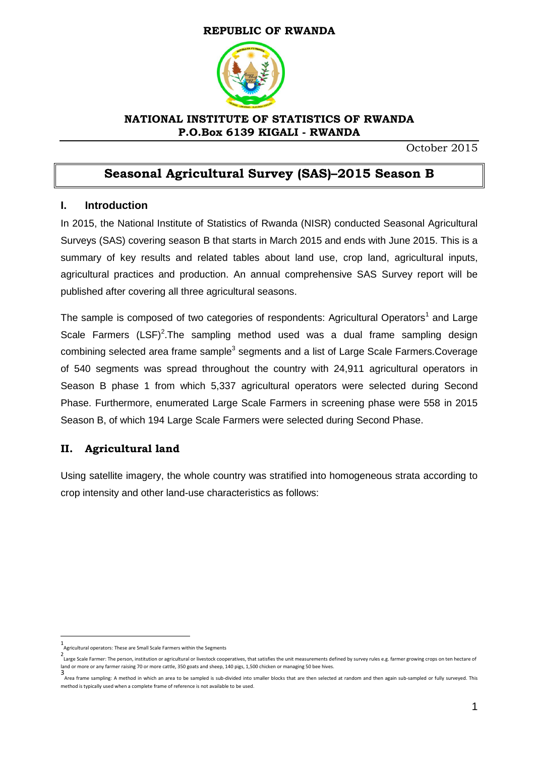#### **REPUBLIC OF RWANDA**



#### **NATIONAL INSTITUTE OF STATISTICS OF RWANDA P.O.Box 6139 KIGALI - RWANDA**

October 2015

## **Seasonal Agricultural Survey (SAS)–2015 Season B**

#### **I. Introduction**

In 2015, the National Institute of Statistics of Rwanda (NISR) conducted Seasonal Agricultural Surveys (SAS) covering season B that starts in March 2015 and ends with June 2015. This is a summary of key results and related tables about land use, crop land, agricultural inputs, agricultural practices and production. An annual comprehensive SAS Survey report will be published after covering all three agricultural seasons.

The sample is composed of two categories of respondents: Agricultural Operators<sup>1</sup> and Large Scale Farmers  $(LSF)^2$ . The sampling method used was a dual frame sampling design combining selected area frame sample<sup>3</sup> segments and a list of Large Scale Farmers.Coverage of 540 segments was spread throughout the country with 24,911 agricultural operators in Season B phase 1 from which 5,337 agricultural operators were selected during Second Phase. Furthermore, enumerated Large Scale Farmers in screening phase were 558 in 2015 Season B, of which 194 Large Scale Farmers were selected during Second Phase.

## **II. Agricultural land**

Using satellite imagery, the whole country was stratified into homogeneous strata according to crop intensity and other land-use characteristics as follows:

 $\overline{\phantom{a}}$ 

<sup>1</sup> Agricultural operators: These are Small Scale Farmers within the Segments

<sup>2</sup> Large Scale Farmer: The person, institution or agricultural or livestock cooperatives, that satisfies the unit measurements defined by survey rules e.g. farmer growing crops on ten hectare of land or more or any farmer raising 70 or more cattle, 350 goats and sheep, 140 pigs, 1,500 chicken or managing 50 bee hives.

<sup>3</sup> Area frame sampling: A method in which an area to be sampled is sub-divided into smaller blocks that are then selected at random and then again sub-sampled or fully surveyed. This method is typically used when a complete frame of reference is not available to be used.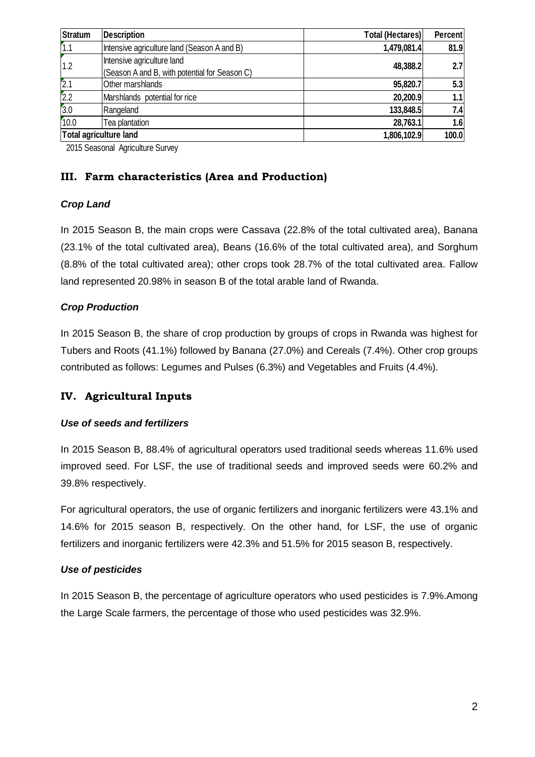| <b>Stratum</b> | <b>Description</b>                            | <b>Total (Hectares)</b> | <b>Percent</b> |
|----------------|-----------------------------------------------|-------------------------|----------------|
| 1.1            | Intensive agriculture land (Season A and B)   | 1,479,081.4             | 81.9           |
| 1.2            | Intensive agriculture land                    | 48,388.2                | 2.7            |
|                | (Season A and B, with potential for Season C) |                         |                |
| 2.1            | Other marshlands                              | 95,820.7                | 5.3            |
| 2.2            | Marshlands potential for rice                 | 20,200.9                | 1.1            |
| 3.0            | Rangeland                                     | 133,848.5               | 7.4            |
| 10.0           | Tea plantation                                | 28,763.1                | 1.6            |
|                | Total agriculture land                        | 1,806,102.9             | 100.0          |

2015 Seasonal Agriculture Survey

#### **III. Farm characteristics (Area and Production)**

#### *Crop Land*

In 2015 Season B, the main crops were Cassava (22.8% of the total cultivated area), Banana (23.1% of the total cultivated area), Beans (16.6% of the total cultivated area), and Sorghum (8.8% of the total cultivated area); other crops took 28.7% of the total cultivated area. Fallow land represented 20.98% in season B of the total arable land of Rwanda.

#### *Crop Production*

In 2015 Season B, the share of crop production by groups of crops in Rwanda was highest for Tubers and Roots (41.1%) followed by Banana (27.0%) and Cereals (7.4%). Other crop groups contributed as follows: Legumes and Pulses (6.3%) and Vegetables and Fruits (4.4%).

## **IV. Agricultural Inputs**

#### *Use of seeds and fertilizers*

In 2015 Season B, 88.4% of agricultural operators used traditional seeds whereas 11.6% used improved seed. For LSF, the use of traditional seeds and improved seeds were 60.2% and 39.8% respectively.

For agricultural operators, the use of organic fertilizers and inorganic fertilizers were 43.1% and 14.6% for 2015 season B, respectively. On the other hand, for LSF, the use of organic fertilizers and inorganic fertilizers were 42.3% and 51.5% for 2015 season B, respectively.

#### *Use of pesticides*

In 2015 Season B, the percentage of agriculture operators who used pesticides is 7.9%.Among the Large Scale farmers, the percentage of those who used pesticides was 32.9%.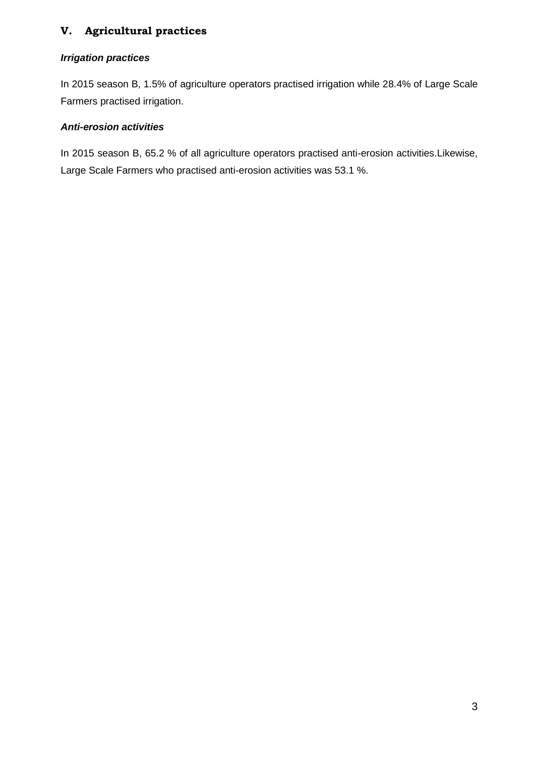## **V. Agricultural practices**

#### *Irrigation practices*

In 2015 season B, 1.5% of agriculture operators practised irrigation while 28.4% of Large Scale Farmers practised irrigation.

## *Anti-erosion activities*

In 2015 season B, 65.2 % of all agriculture operators practised anti-erosion activities.Likewise, Large Scale Farmers who practised anti-erosion activities was 53.1 %.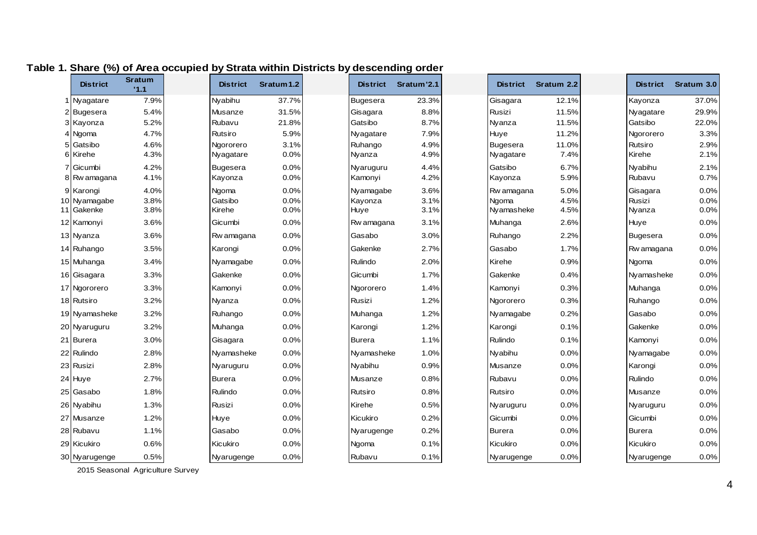| <b>District</b>           | <b>Sratum</b><br>11.1 | <b>District</b>  | Sratum 1.2   | <b>District</b>      | Sratum'2.1   | <b>District</b>     | Sratum 2.2   | <b>District</b>    | Sratum 3.0   |
|---------------------------|-----------------------|------------------|--------------|----------------------|--------------|---------------------|--------------|--------------------|--------------|
| Nyagatare                 | 7.9%                  | Nyabihu          | 37.7%        | Bugesera             | 23.3%        | Gisagara            | 12.1%        | Kayonza            | 37.0%        |
| <b>Bugesera</b>           | 5.4%                  | Musanze          | 31.5%        | Gisagara             | 8.8%         | Rusizi              | 11.5%        | Nyagatare          | 29.9%        |
| 3 Kayonza                 | 5.2%                  | Rubavu           | 21.8%        | Gatsibo              | 8.7%         | Nyanza              | 11.5%        | Gatsibo            | 22.0%        |
| Ngoma                     | 4.7%                  | Rutsiro          | 5.9%         | Nyagatare            | 7.9%         | Huye                | 11.2%        | Ngororero          | 3.3%         |
| Gatsibo                   | 4.6%                  | Ngororero        | 3.1%         | Ruhango              | 4.9%         | <b>Bugesera</b>     | 11.0%        | Rutsiro            | 2.9%         |
| 6 Kirehe                  | 4.3%                  | Nyagatare        | 0.0%         | Nyanza               | 4.9%         | Nyagatare           | 7.4%         | Kirehe             | 2.1%         |
| Gicumbi                   | 4.2%<br>4.1%          | <b>Bugesera</b>  | 0.0%<br>0.0% | Nyaruguru<br>Kamonyi | 4.4%<br>4.2% | Gatsibo             | 6.7%<br>5.9% | Nyabihu<br>Rubavu  | 2.1%<br>0.7% |
| Rw amagana                |                       | Kayonza          |              |                      |              | Kayonza             |              |                    |              |
| 9 Karongi<br>10 Nyamagabe | 4.0%<br>3.8%          | Ngoma<br>Gatsibo | 0.0%<br>0.0% | Nyamagabe<br>Kayonza | 3.6%<br>3.1% | Rw amagana<br>Ngoma | 5.0%<br>4.5% | Gisagara<br>Rusizi | 0.0%<br>0.0% |
| 11 Gakenke                | 3.8%                  | Kirehe           | 0.0%         | Huye                 | 3.1%         | Nyamasheke          | 4.5%         | Nyanza             | 0.0%         |
| 12 Kamonyi                | 3.6%                  | Gicumbi          | 0.0%         | Rw amagana           | 3.1%         | Muhanga             | 2.6%         | Huye               | 0.0%         |
| 13 Nyanza                 | 3.6%                  | Rw amagana       | 0.0%         | Gasabo               | 3.0%         | Ruhango             | 2.2%         | <b>Bugesera</b>    | 0.0%         |
| 14 Ruhango                | 3.5%                  | Karongi          | 0.0%         | Gakenke              | 2.7%         | Gasabo              | 1.7%         | Rw amagana         | 0.0%         |
| 15 Muhanga                | 3.4%                  | Nyamagabe        | 0.0%         | Rulindo              | 2.0%         | Kirehe              | 0.9%         | Ngoma              | 0.0%         |
| 16 Gisagara               | 3.3%                  | Gakenke          | 0.0%         | Gicumbi              | 1.7%         | Gakenke             | 0.4%         | Nyamasheke         | 0.0%         |
| 17 Ngororero              | 3.3%                  | Kamonyi          | 0.0%         | Ngororero            | 1.4%         | Kamonyi             | 0.3%         | Muhanga            | 0.0%         |
| 18 Rutsiro                | 3.2%                  | Nyanza           | 0.0%         | Rusizi               | 1.2%         | Ngororero           | 0.3%         | Ruhango            | 0.0%         |
| 19 Nyamasheke             | 3.2%                  | Ruhango          | 0.0%         | Muhanga              | 1.2%         | Nyamagabe           | 0.2%         | Gasabo             | 0.0%         |
| 20 Nyaruguru              | 3.2%                  | Muhanga          | 0.0%         | Karongi              | 1.2%         | Karongi             | 0.1%         | Gakenke            | 0.0%         |
| 21 Burera                 | 3.0%                  | Gisagara         | 0.0%         | <b>Burera</b>        | 1.1%         | Rulindo             | 0.1%         | Kamonyi            | 0.0%         |
| 22 Rulindo                | 2.8%                  | Nyamasheke       | 0.0%         | Nyamasheke           | 1.0%         | Nyabihu             | 0.0%         | Nyamagabe          | 0.0%         |
| 23 Rusizi                 | 2.8%                  | Nyaruguru        | 0.0%         | Nyabihu              | 0.9%         | Musanze             | 0.0%         | Karongi            | 0.0%         |
| 24 Huye                   | 2.7%                  | <b>Burera</b>    | 0.0%         | Musanze              | 0.8%         | Rubavu              | 0.0%         | Rulindo            | 0.0%         |
| 25 Gasabo                 | 1.8%                  | Rulindo          | 0.0%         | Rutsiro              | 0.8%         | Rutsiro             | 0.0%         | Musanze            | 0.0%         |
| 26 Nyabihu                | 1.3%                  | Rusizi           | 0.0%         | Kirehe               | 0.5%         | Nyaruguru           | 0.0%         | Nyaruguru          | 0.0%         |
| 27 Musanze                | 1.2%                  | Huye             | 0.0%         | Kicukiro             | 0.2%         | Gicumbi             | 0.0%         | Gicumbi            | 0.0%         |
| 28 Rubavu                 | 1.1%                  | Gasabo           | 0.0%         | Nyarugenge           | 0.2%         | <b>Burera</b>       | 0.0%         | <b>Burera</b>      | 0.0%         |
| 29 Kicukiro               | 0.6%                  | Kicukiro         | 0.0%         | Ngoma                | 0.1%         | Kicukiro            | 0.0%         | Kicukiro           | 0.0%         |
| 30 Nyarugenge             | 0.5%                  | Nyarugenge       | 0.0%         | Rubavu               | 0.1%         | Nyarugenge          | 0.0%         | Nyarugenge         | 0.0%         |

# **Table 1. Share (%) of Area occupied by Strata within Districts by descending order**

2015 Seasonal Agriculture Survey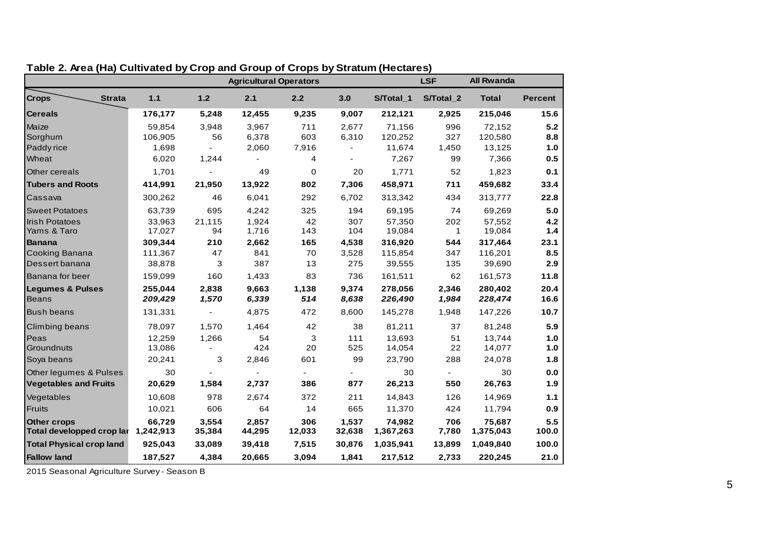|                                                 |                     |                          | <b>Agricultural Operators</b> |               |                 |                     | <b>LSF</b>   | <b>All Rwanda</b>   |                |
|-------------------------------------------------|---------------------|--------------------------|-------------------------------|---------------|-----------------|---------------------|--------------|---------------------|----------------|
| <b>Crops</b><br><b>Strata</b>                   | $1.1$               | 1.2                      | 2.1                           | 2.2           | 3.0             | S/Total 1           | S/Total_2    | <b>Total</b>        | <b>Percent</b> |
| <b>Cereals</b>                                  | 176,177             | 5,248                    | 12,455                        | 9,235         | 9,007           | 212,121             | 2,925        | 215,046             | 15.6           |
| Maize                                           | 59,854              | 3,948                    | 3,967                         | 711           | 2,677           | 71,156              | 996          | 72,152              | 5.2            |
| Sorghum                                         | 106,905             | 56                       | 6,378                         | 603           | 6,310           | 120,252             | 327          | 120,580             | 8.8            |
| Paddy rice                                      | 1,698               |                          | 2,060                         | 7,916         |                 | 11,674              | 1,450        | 13,125              | 1.0            |
| Wheat                                           | 6,020               | 1,244                    |                               | 4             |                 | 7,267               | 99           | 7,366               | 0.5            |
| Other cereals                                   | 1,701               |                          | 49                            | 0             | 20              | 1,771               | 52           | 1,823               | 0.1            |
| <b>Tubers and Roots</b>                         | 414,991             | 21,950                   | 13,922                        | 802           | 7,306           | 458,971             | 711          | 459,682             | 33.4           |
| Cassava                                         | 300,262             | 46                       | 6,041                         | 292           | 6,702           | 313,342             | 434          | 313,777             | 22.8           |
| <b>Sweet Potatoes</b>                           | 63,739              | 695                      | 4,242                         | 325           | 194             | 69,195              | 74           | 69,269              | 5.0            |
| <b>Irish Potatoes</b>                           | 33,963              | 21,115                   | 1.924                         | 42            | 307             | 57,350              | 202          | 57.552              | 4.2            |
| Yams & Taro                                     | 17,027              | 94                       | 1,716                         | 143           | 104             | 19,084              | $\mathbf 1$  | 19,084              | 1.4            |
| <b>Banana</b>                                   | 309,344             | 210                      | 2,662                         | 165           | 4,538           | 316,920             | 544          | 317,464             | 23.1           |
| Cooking Banana                                  | 111,367             | 47                       | 841                           | 70            | 3,528           | 115,854             | 347          | 116,201             | 8.5            |
| Dessert banana                                  | 38,878              | 3                        | 387                           | 13            | 275             | 39,555              | 135          | 39,690              | 2.9            |
| Banana for beer                                 | 159,099             | 160                      | 1,433                         | 83            | 736             | 161,511             | 62           | 161,573             | 11.8           |
| <b>Legumes &amp; Pulses</b>                     | 255,044             | 2,838                    | 9,663                         | 1,138         | 9,374           | 278,056             | 2,346        | 280,402             | 20.4           |
| <b>Beans</b>                                    | 209,429             | 1,570                    | 6,339                         | 514           | 8,638           | 226,490             | 1,984        | 228,474             | 16.6           |
| <b>Bush beans</b>                               | 131,331             | $\overline{\phantom{a}}$ | 4,875                         | 472           | 8,600           | 145,278             | 1,948        | 147,226             | 10.7           |
| Climbing beans                                  | 78,097              | 1,570                    | 1,464                         | 42            | 38              | 81,211              | 37           | 81,248              | 5.9            |
| Peas                                            | 12,259              | 1,266                    | 54                            | 3             | 111             | 13,693              | 51           | 13,744              | $1.0$          |
| Groundnuts                                      | 13,086              |                          | 424                           | 20            | 525             | 14,054              | 22           | 14,077              | $1.0$          |
| Soya beans                                      | 20,241              | 3                        | 2,846                         | 601           | 99              | 23,790              | 288          | 24,078              | 1.8            |
| Other legumes & Pulses                          | 30                  |                          |                               |               |                 | 30                  |              | 30                  | 0.0            |
| <b>Vegetables and Fruits</b>                    | 20,629              | 1,584                    | 2,737                         | 386           | 877             | 26,213              | 550          | 26,763              | 1.9            |
| Vegetables                                      | 10,608              | 978                      | 2,674                         | 372           | 211             | 14,843              | 126          | 14,969              | 1.1            |
| <b>Fruits</b>                                   | 10,021              | 606                      | 64                            | 14            | 665             | 11,370              | 424          | 11,794              | 0.9            |
| <b>Other crops</b><br>Total developped crop lar | 66,729<br>1,242,913 | 3,554<br>35,384          | 2,857<br>44,295               | 306<br>12,033 | 1,537<br>32,638 | 74,982<br>1,367,263 | 706<br>7,780 | 75,687<br>1,375,043 | 5.5<br>100.0   |
| <b>Total Physical crop land</b>                 | 925,043             | 33,089                   | 39,418                        | 7,515         | 30,876          | 1,035,941           | 13,899       | 1,049,840           | 100.0          |
| <b>Fallow land</b>                              | 187,527             | 4,384                    | 20,665                        | 3,094         | 1,841           | 217,512             | 2,733        | 220,245             | 21.0           |

#### **Table 2. Area (Ha) Cultivated by Crop and Group of Crops by Stratum (Hectares)**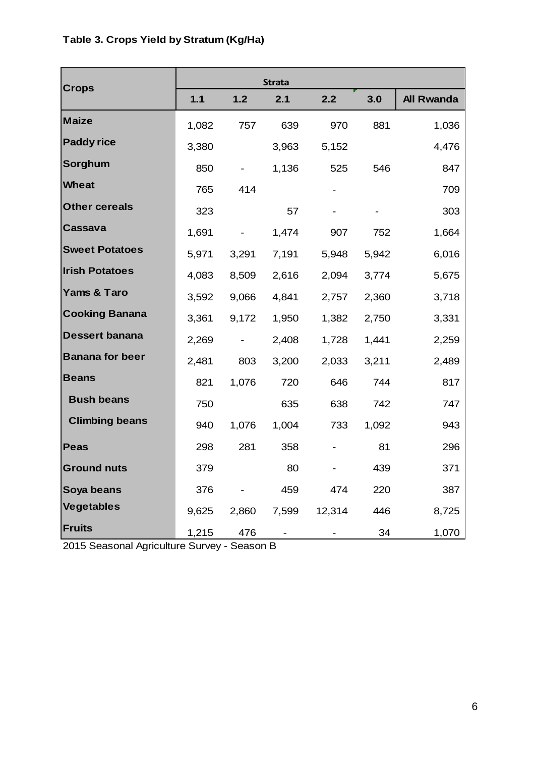| <b>Crops</b>           |       |       | <b>Strata</b> |        |       |                   |
|------------------------|-------|-------|---------------|--------|-------|-------------------|
|                        | 1.1   | $1.2$ | 2.1           | 2.2    | 3.0   | <b>All Rwanda</b> |
| <b>Maize</b>           | 1,082 | 757   | 639           | 970    | 881   | 1,036             |
| <b>Paddy rice</b>      | 3,380 |       | 3,963         | 5,152  |       | 4,476             |
| Sorghum                | 850   |       | 1,136         | 525    | 546   | 847               |
| <b>Wheat</b>           | 765   | 414   |               |        |       | 709               |
| <b>Other cereals</b>   | 323   |       | 57            |        |       | 303               |
| Cassava                | 1,691 |       | 1,474         | 907    | 752   | 1,664             |
| <b>Sweet Potatoes</b>  | 5,971 | 3,291 | 7,191         | 5,948  | 5,942 | 6,016             |
| <b>Irish Potatoes</b>  | 4,083 | 8,509 | 2,616         | 2,094  | 3,774 | 5,675             |
| Yams & Taro            | 3,592 | 9,066 | 4,841         | 2,757  | 2,360 | 3,718             |
| <b>Cooking Banana</b>  | 3,361 | 9,172 | 1,950         | 1,382  | 2,750 | 3,331             |
| <b>Dessert banana</b>  | 2,269 |       | 2,408         | 1,728  | 1,441 | 2,259             |
| <b>Banana for beer</b> | 2,481 | 803   | 3,200         | 2,033  | 3,211 | 2,489             |
| <b>Beans</b>           | 821   | 1,076 | 720           | 646    | 744   | 817               |
| <b>Bush beans</b>      | 750   |       | 635           | 638    | 742   | 747               |
| <b>Climbing beans</b>  | 940   | 1,076 | 1,004         | 733    | 1,092 | 943               |
| <b>Peas</b>            | 298   | 281   | 358           |        | 81    | 296               |
| <b>Ground nuts</b>     | 379   |       | 80            |        | 439   | 371               |
| Soya beans             | 376   |       | 459           | 474    | 220   | 387               |
| <b>Vegetables</b>      | 9,625 | 2,860 | 7,599         | 12,314 | 446   | 8,725             |
| <b>Fruits</b>          | 1,215 | 476   |               |        | 34    | 1,070             |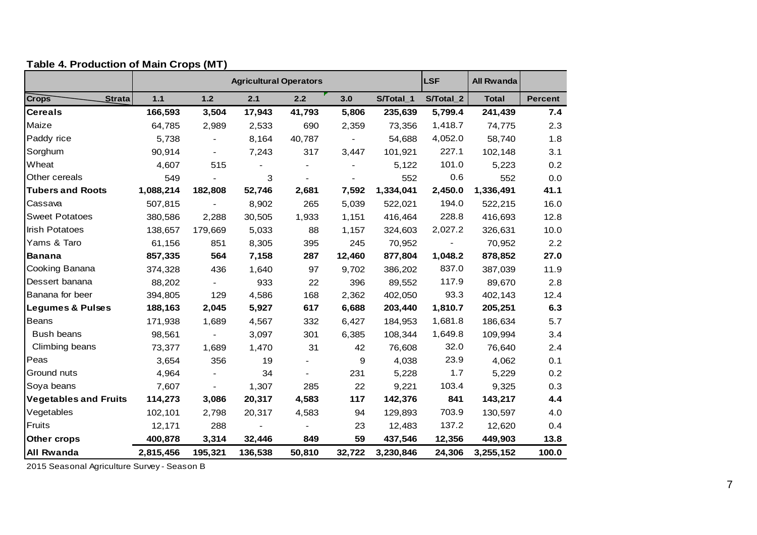| $\frac{1}{2}$ able +. Todaotion of main or ope $\frac{1}{2}$ |           |         | <b>Agricultural Operators</b> |        |        |           | <b>LSF</b> | <b>All Rwanda</b> |                |
|--------------------------------------------------------------|-----------|---------|-------------------------------|--------|--------|-----------|------------|-------------------|----------------|
| <b>Crops</b><br><b>Strata</b>                                | $1.1$     | $1.2$   | 2.1                           | 2.2    | 3.0    | S/Total_1 | S/Total_2  | <b>Total</b>      | <b>Percent</b> |
| <b>Cereals</b>                                               | 166,593   | 3,504   | 17,943                        | 41,793 | 5,806  | 235,639   | 5,799.4    | 241,439           | 7.4            |
| Maize                                                        | 64,785    | 2,989   | 2,533                         | 690    | 2,359  | 73,356    | 1,418.7    | 74,775            | 2.3            |
| Paddy rice                                                   | 5,738     |         | 8,164                         | 40,787 |        | 54,688    | 4,052.0    | 58,740            | 1.8            |
| Sorghum                                                      | 90,914    |         | 7,243                         | 317    | 3,447  | 101,921   | 227.1      | 102,148           | 3.1            |
| Wheat                                                        | 4,607     | 515     |                               |        |        | 5,122     | 101.0      | 5,223             | 0.2            |
| Other cereals                                                | 549       |         | 3                             |        |        | 552       | 0.6        | 552               | 0.0            |
| <b>Tubers and Roots</b>                                      | 1,088,214 | 182,808 | 52,746                        | 2,681  | 7,592  | 1,334,041 | 2,450.0    | 1,336,491         | 41.1           |
| Cassava                                                      | 507,815   |         | 8,902                         | 265    | 5,039  | 522,021   | 194.0      | 522,215           | 16.0           |
| <b>Sweet Potatoes</b>                                        | 380,586   | 2,288   | 30,505                        | 1,933  | 1,151  | 416,464   | 228.8      | 416,693           | 12.8           |
| <b>Irish Potatoes</b>                                        | 138,657   | 179,669 | 5,033                         | 88     | 1,157  | 324,603   | 2,027.2    | 326,631           | 10.0           |
| Yams & Taro                                                  | 61,156    | 851     | 8,305                         | 395    | 245    | 70,952    |            | 70,952            | 2.2            |
| Banana                                                       | 857,335   | 564     | 7,158                         | 287    | 12,460 | 877,804   | 1,048.2    | 878,852           | 27.0           |
| Cooking Banana                                               | 374,328   | 436     | 1,640                         | 97     | 9,702  | 386,202   | 837.0      | 387,039           | 11.9           |
| Dessert banana                                               | 88,202    |         | 933                           | 22     | 396    | 89,552    | 117.9      | 89,670            | 2.8            |
| Banana for beer                                              | 394,805   | 129     | 4,586                         | 168    | 2,362  | 402,050   | 93.3       | 402,143           | 12.4           |
| <b>Legumes &amp; Pulses</b>                                  | 188,163   | 2,045   | 5,927                         | 617    | 6,688  | 203,440   | 1,810.7    | 205,251           | 6.3            |
| Beans                                                        | 171,938   | 1,689   | 4,567                         | 332    | 6,427  | 184,953   | 1,681.8    | 186,634           | 5.7            |
| Bush beans                                                   | 98,561    |         | 3,097                         | 301    | 6,385  | 108,344   | 1,649.8    | 109,994           | 3.4            |
| Climbing beans                                               | 73,377    | 1,689   | 1,470                         | 31     | 42     | 76,608    | 32.0       | 76,640            | 2.4            |
| Peas                                                         | 3,654     | 356     | 19                            |        | 9      | 4,038     | 23.9       | 4,062             | 0.1            |
| Ground nuts                                                  | 4,964     |         | 34                            |        | 231    | 5,228     | 1.7        | 5,229             | 0.2            |
| Soya beans                                                   | 7,607     |         | 1,307                         | 285    | 22     | 9,221     | 103.4      | 9,325             | 0.3            |
| <b>Vegetables and Fruits</b>                                 | 114,273   | 3,086   | 20,317                        | 4,583  | 117    | 142,376   | 841        | 143,217           | 4.4            |
| Vegetables                                                   | 102,101   | 2,798   | 20,317                        | 4,583  | 94     | 129,893   | 703.9      | 130,597           | 4.0            |
| Fruits                                                       | 12,171    | 288     |                               |        | 23     | 12,483    | 137.2      | 12,620            | 0.4            |
| <b>Other crops</b>                                           | 400,878   | 3,314   | 32,446                        | 849    | 59     | 437,546   | 12,356     | 449,903           | 13.8           |
| <b>All Rwanda</b>                                            | 2,815,456 | 195,321 | 136,538                       | 50,810 | 32,722 | 3,230,846 | 24,306     | 3,255,152         | 100.0          |

#### **Table 4. Production of Main Crops (MT)**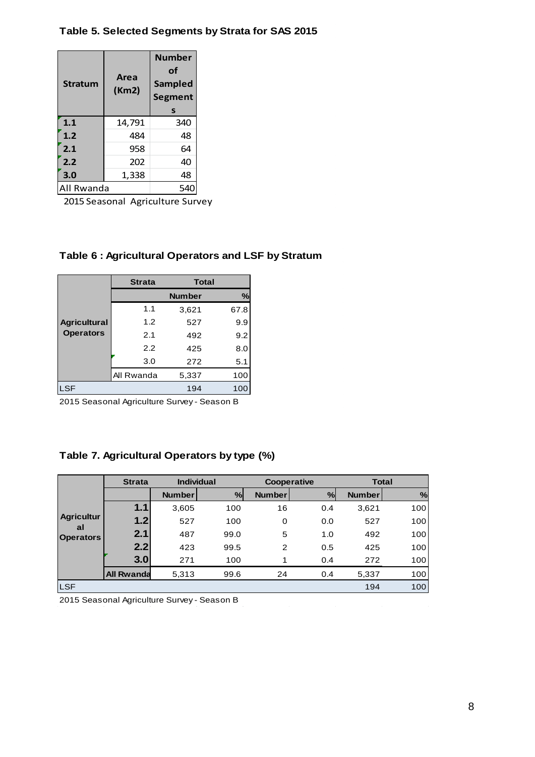#### **Table 5. Selected Segments by Strata for SAS 2015**

| <b>Stratum</b> | Area<br>(Km2) | <b>Number</b><br>οf<br><b>Sampled</b><br><b>Segment</b><br>s |
|----------------|---------------|--------------------------------------------------------------|
| 1.1            | 14,791        | 340                                                          |
| 1.2            | 484           | 48                                                           |
| 2.1            | 958           | 64                                                           |
| 2.2            | 202           | 40                                                           |
| 3.0            | 1,338         | 48                                                           |
| All Rwanda     |               | 54                                                           |

2015 Seasonal Agriculture Survey

### **Table 6 : Agricultural Operators and LSF by Stratum**

|                     | <b>Strata</b> | <b>Total</b>  |      |
|---------------------|---------------|---------------|------|
| <b>Agricultural</b> |               | <b>Number</b> | %    |
|                     | 1.1           | 3,621         | 67.8 |
|                     | 1.2           | 527           | 9.9  |
| <b>Operators</b>    | 2.1           | 492           | 9.2  |
|                     | 2.2           | 425           | 8.0  |
|                     | 3.0           | 272           | 5.1  |
|                     | All Rwanda    | 5,337         | 100  |
| <b>LSF</b>          |               | 194           | 100  |

2015 Seasonal Agriculture Survey - Season B

## **Table 7. Agricultural Operators by type (%)**

|                         | <b>Strata</b>     | <b>Individual</b> |      | Cooperative   |      | <b>Total</b>  |     |
|-------------------------|-------------------|-------------------|------|---------------|------|---------------|-----|
|                         |                   | <b>Number</b>     | %    | <b>Number</b> | $\%$ | <b>Number</b> | %   |
|                         | 1.1               | 3,605             | 100  | 16            | 0.4  | 3,621         | 100 |
| <b>Agricultur</b><br>al | 1.2               | 527               | 100  | 0             | 0.0  | 527           | 100 |
| <b>Operators</b>        | 2.1               | 487               | 99.0 | 5             | 1.0  | 492           | 100 |
|                         | 2.2               | 423               | 99.5 | 2             | 0.5  | 425           | 100 |
|                         | 3.0               | 271               | 100  | 1             | 0.4  | 272           | 100 |
|                         | <b>All Rwanda</b> | 5,313             | 99.6 | 24            | 0.4  | 5,337         | 100 |
| <b>LSF</b>              |                   |                   |      |               |      | 194           | 100 |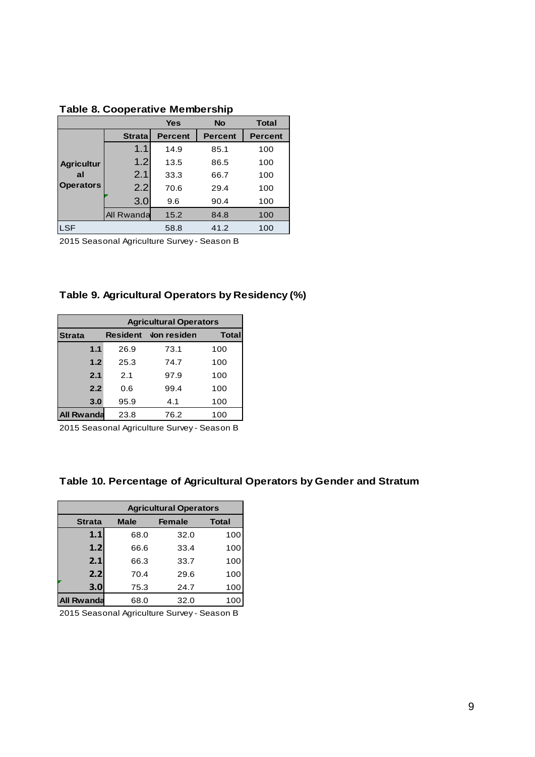|                   |               | <b>Yes</b>     | <b>No</b>      | <b>Total</b>   |
|-------------------|---------------|----------------|----------------|----------------|
|                   | <b>Strata</b> | <b>Percent</b> | <b>Percent</b> | <b>Percent</b> |
|                   | 1.1           | 14.9           | 85.1           | 100            |
| <b>Agricultur</b> | 1.2           | 13.5           | 86.5           | 100            |
| al                | 2.1           | 33.3           | 66.7           | 100            |
| <b>Operators</b>  | 2.2           | 70.6           | 29.4           | 100            |
|                   | 3.0           | 9.6            | 90.4           | 100            |
|                   | All Rwanda    | 15.2           | 84.8           | 100            |
| <b>LSF</b>        |               | 58.8           | 41.2           | 100            |

**Table 8. Cooperative Membership**

2015 Seasonal Agriculture Survey - Season B

#### **Table 9. Agricultural Operators by Residency (%)**

|                   | <b>Agricultural Operators</b> |                    |              |  |  |  |  |
|-------------------|-------------------------------|--------------------|--------------|--|--|--|--|
| <b>Strata</b>     | <b>Resident</b>               | <b>Von residen</b> | <b>Total</b> |  |  |  |  |
| 1.1               | 26.9                          | 73.1               | 100          |  |  |  |  |
| 1.2               | 25.3                          | 74.7               | 100          |  |  |  |  |
| 2.1               | 2.1                           | 97.9               | 100          |  |  |  |  |
| 2.2               | 0.6                           | 99.4               | 100          |  |  |  |  |
| 3.0               | 95.9                          | 4.1                | 100          |  |  |  |  |
| <b>All Rwanda</b> | 23.8                          | 76.2               | 100          |  |  |  |  |

2015 Seasonal Agriculture Survey - Season B

#### **Table 10. Percentage of Agricultural Operators by Gender and Stratum**

|                   | <b>Agricultural Operators</b>                |      |     |  |  |  |  |  |  |
|-------------------|----------------------------------------------|------|-----|--|--|--|--|--|--|
| <b>Strata</b>     | <b>Total</b><br><b>Male</b><br><b>Female</b> |      |     |  |  |  |  |  |  |
| 1.1               | 68.0                                         | 32.0 | 100 |  |  |  |  |  |  |
| 1.2               | 66.6                                         | 33.4 | 100 |  |  |  |  |  |  |
| 2.1               | 66.3                                         | 33.7 | 100 |  |  |  |  |  |  |
| 2.2               | 70.4                                         | 29.6 | 100 |  |  |  |  |  |  |
| 3.0               | 75.3                                         | 24.7 | 100 |  |  |  |  |  |  |
| <b>All Rwanda</b> | 68.0                                         | 32.0 | 100 |  |  |  |  |  |  |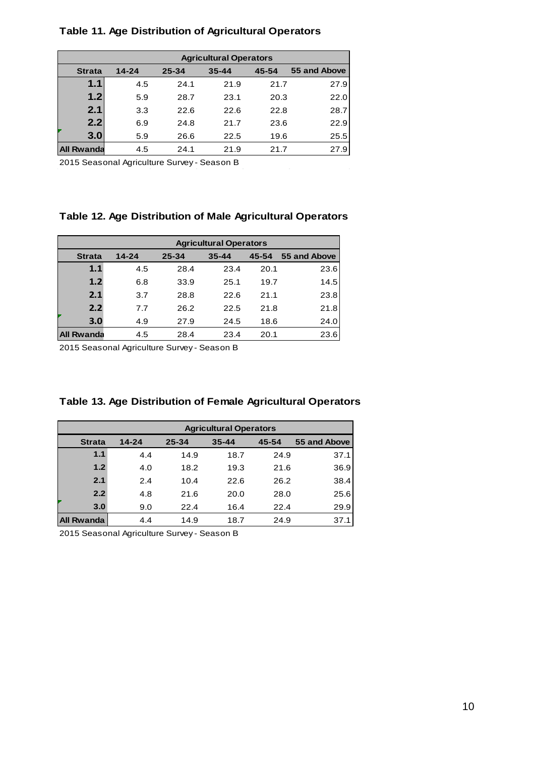#### **Table 11. Age Distribution of Agricultural Operators**

|                   | <b>Agricultural Operators</b> |           |           |       |              |  |  |  |
|-------------------|-------------------------------|-----------|-----------|-------|--------------|--|--|--|
| <b>Strata</b>     | $14 - 24$                     | $25 - 34$ | $35 - 44$ | 45-54 | 55 and Above |  |  |  |
| 1.1               | 4.5                           | 24.1      | 21.9      | 21.7  | 27.9         |  |  |  |
| 1.2               | 5.9                           | 28.7      | 23.1      | 20.3  | 22.0         |  |  |  |
| 2.1               | 3.3                           | 22.6      | 22.6      | 22.8  | 28.7         |  |  |  |
| 2.2               | 6.9                           | 24.8      | 21.7      | 23.6  | 22.9         |  |  |  |
| 3.0               | 5.9                           | 26.6      | 22.5      | 19.6  | 25.5         |  |  |  |
| <b>All Rwanda</b> | 4.5                           | 24.1      | 21.9      | 21.7  | 27.9         |  |  |  |

2015 Seasonal Agriculture Survey - Season B

#### **Table 12. Age Distribution of Male Agricultural Operators**

|                   | <b>Agricultural Operators</b> |           |           |       |              |
|-------------------|-------------------------------|-----------|-----------|-------|--------------|
| <b>Strata</b>     | $14 - 24$                     | $25 - 34$ | $35 - 44$ | 45-54 | 55 and Above |
| 1.1               | 4.5                           | 28.4      | 23.4      | 20.1  | 23.6         |
| 1.2               | 6.8                           | 33.9      | 25.1      | 19.7  | 14.5         |
| 2.1               | 3.7                           | 28.8      | 22.6      | 21.1  | 23.8         |
| 2.2               | 7.7                           | 26.2      | 22.5      | 21.8  | 21.8         |
| 3.0               | 4.9                           | 27.9      | 24.5      | 18.6  | 24.0         |
| <b>All Rwanda</b> | 4.5                           | 28.4      | 23.4      | 20.1  | 23.6         |

2015 Seasonal Agriculture Survey - Season B

| Table 13. Age Distribution of Female Agricultural Operators |  |  |  |
|-------------------------------------------------------------|--|--|--|
|-------------------------------------------------------------|--|--|--|

|                   | <b>Agricultural Operators</b> |           |           |       |              |
|-------------------|-------------------------------|-----------|-----------|-------|--------------|
| <b>Strata</b>     | $14 - 24$                     | $25 - 34$ | $35 - 44$ | 45-54 | 55 and Above |
| 1.1               | 4.4                           | 14.9      | 18.7      | 24.9  | 37.1         |
| 1.2               | 4.0                           | 18.2      | 19.3      | 21.6  | 36.9         |
| 2.1               | 2.4                           | 10.4      | 22.6      | 26.2  | 38.4         |
| 2.2               | 4.8                           | 21.6      | 20.0      | 28.0  | 25.6         |
| 3.0               | 9.0                           | 22.4      | 16.4      | 22.4  | 29.9         |
| <b>All Rwanda</b> | 4.4                           | 14.9      | 18.7      | 24.9  | 37.1         |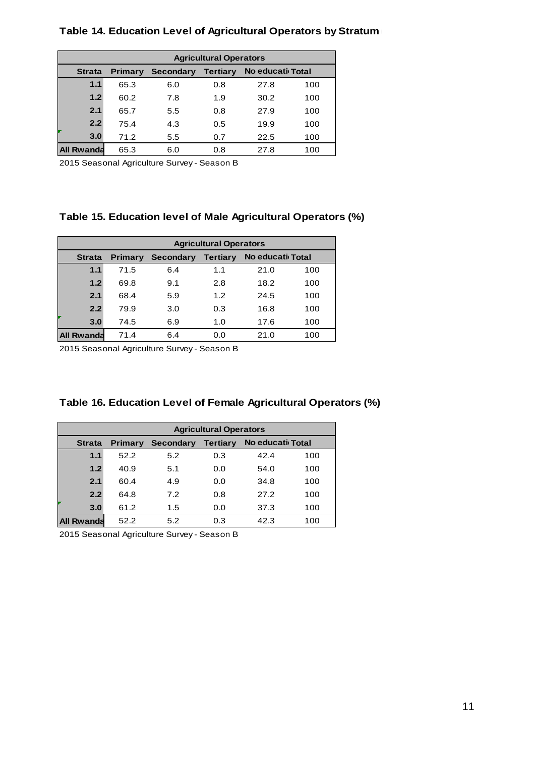#### **Table 14. Education Level of Agricultural Operators by Stratum (%)**

|               | <b>Agricultural Operators</b>                               |     |     |      |     |  |
|---------------|-------------------------------------------------------------|-----|-----|------|-----|--|
| <b>Strata</b> | No educati Total<br>Tertiary<br>Secondary<br><b>Primary</b> |     |     |      |     |  |
| 1.1           | 65.3                                                        | 6.0 | 0.8 | 27.8 | 100 |  |
| 1.2           | 60.2                                                        | 7.8 | 1.9 | 30.2 | 100 |  |
| 2.1           | 65.7                                                        | 5.5 | 0.8 | 27.9 | 100 |  |
| 2.2           | 75.4                                                        | 4.3 | 0.5 | 19.9 | 100 |  |
| 3.0           | 71.2                                                        | 5.5 | 0.7 | 22.5 | 100 |  |
| All Rwanda    | 65.3                                                        | 6.0 | 0.8 | 27.8 | 100 |  |

2015 Seasonal Agriculture Survey - Season B

#### **Table 15. Education level of Male Agricultural Operators (%)**

|                   | <b>Agricultural Operators</b>                                      |     |     |      |     |  |
|-------------------|--------------------------------------------------------------------|-----|-----|------|-----|--|
| <b>Strata</b>     | No educati Total<br>Tertiary<br><b>Secondary</b><br><b>Primary</b> |     |     |      |     |  |
| 1.1               | 71.5                                                               | 6.4 | 1.1 | 21.0 | 100 |  |
| 1.2               | 69.8                                                               | 9.1 | 2.8 | 18.2 | 100 |  |
| 2.1               | 68.4                                                               | 5.9 | 1.2 | 24.5 | 100 |  |
| 2.2               | 79.9                                                               | 3.0 | 0.3 | 16.8 | 100 |  |
| 3.0               | 74.5                                                               | 6.9 | 1.0 | 17.6 | 100 |  |
| <b>All Rwanda</b> | 71.4                                                               | 6.4 | 0.0 | 21.0 | 100 |  |

2015 Seasonal Agriculture Survey - Season B

| Table 16. Education Level of Female Agricultural Operators (%) |  |  |
|----------------------------------------------------------------|--|--|
|                                                                |  |  |

|               | <b>Agricultural Operators</b>                                      |     |     |      |     |  |
|---------------|--------------------------------------------------------------------|-----|-----|------|-----|--|
| <b>Strata</b> | No educati Total<br><b>Tertiary</b><br>Secondary<br><b>Primary</b> |     |     |      |     |  |
| 1.1           | 52.2                                                               | 5.2 | 0.3 | 42.4 | 100 |  |
| 1.2           | 40.9                                                               | 5.1 | 0.0 | 54.0 | 100 |  |
| 2.1           | 60.4                                                               | 4.9 | 0.0 | 34.8 | 100 |  |
| 2.2           | 64.8                                                               | 7.2 | 0.8 | 27.2 | 100 |  |
| 3.0           | 61.2                                                               | 1.5 | 0.0 | 37.3 | 100 |  |
| All Rwanda    | 52.2                                                               | 5.2 | 0.3 | 42.3 | 100 |  |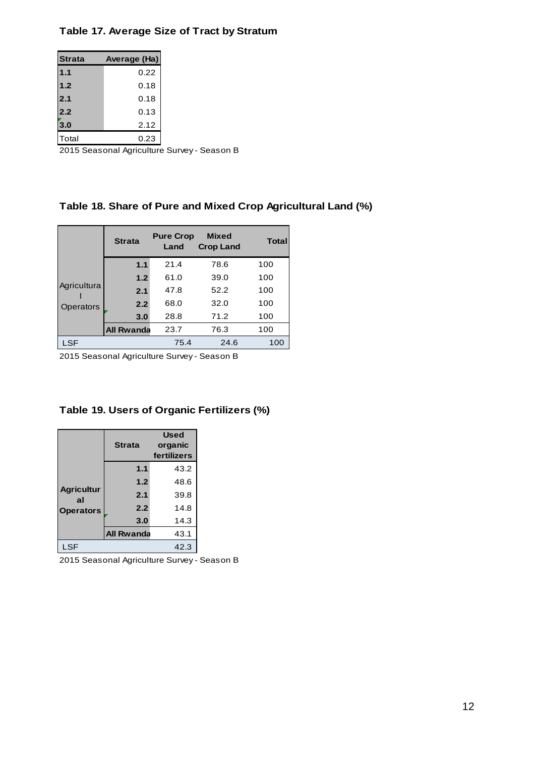#### **Table 17. Average Size of Tract by Stratum**

| <b>Strata</b> | Average (Ha) |
|---------------|--------------|
| 1.1           | 0.22         |
| 1.2           | 0.18         |
| 2.1           | 0.18         |
| 2.2           | 0.13         |
| 3.0           | 2.12         |
| Total         | 0.23         |

2015 Seasonal Agriculture Survey - Season B

### **Table 18. Share of Pure and Mixed Crop Agricultural Land (%)**

|                          | <b>Strata</b>     | <b>Pure Crop</b><br>Land | <b>Mixed</b><br><b>Crop Land</b> | <b>Total</b> |
|--------------------------|-------------------|--------------------------|----------------------------------|--------------|
|                          | 1.1               | 21.4                     | 78.6                             | 100          |
| Agricultura<br>Operators | 1.2               | 61.0                     | 39.0                             | 100          |
|                          | 2.1               | 47.8                     | 52.2                             | 100          |
|                          | 2.2               | 68.0                     | 32.0                             | 100          |
|                          | 3.0               | 28.8                     | 71.2                             | 100          |
|                          | <b>All Rwanda</b> | 23.7                     | 76.3                             | 100          |
| LSF                      |                   | 75.4                     | 24.6                             | 100          |

2015 Seasonal Agriculture Survey - Season B

#### **Table 19. Users of Organic Fertilizers (%)**

|                                             | Strata            | <b>Used</b><br>organic<br>fertilizers |
|---------------------------------------------|-------------------|---------------------------------------|
| <b>Agricultur</b><br>al<br><b>Operators</b> | 1.1               | 43.2                                  |
|                                             | 1.2               | 48.6                                  |
|                                             | 2.1               | 39.8                                  |
|                                             | 2.2               | 14.8                                  |
|                                             | 3.0               | 14.3                                  |
|                                             | <b>All Rwanda</b> | 43.1                                  |
| <b>LSF</b>                                  |                   | 42.3                                  |

2015 Seasonal Agriculture Survey - Season B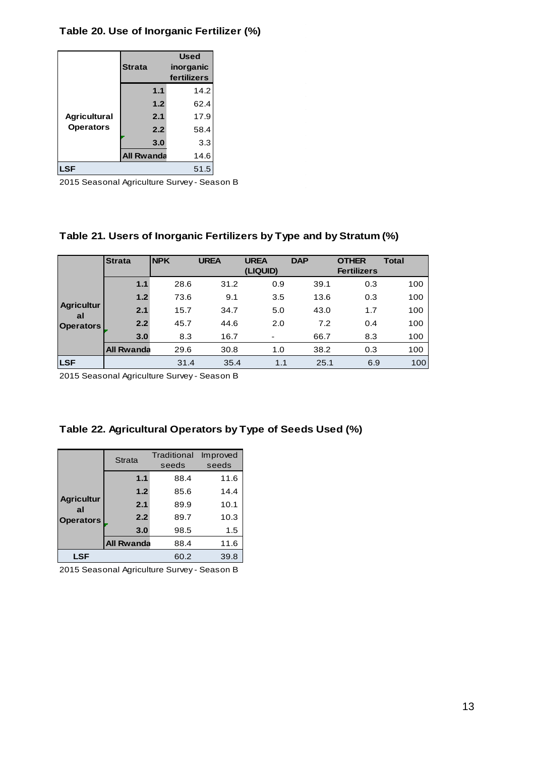#### **Table 20. Use of Inorganic Fertilizer (%)**

|                     | <b>Strata</b>     | <b>Used</b><br>inorganic<br>fertilizers |  |
|---------------------|-------------------|-----------------------------------------|--|
|                     | 1.1               | 14.2                                    |  |
| <b>Agricultural</b> | 1.2               | 62.4                                    |  |
|                     | 2.1               | 17.9                                    |  |
| <b>Operators</b>    | 2.2               | 58.4                                    |  |
|                     | 3.0               | 3.3                                     |  |
|                     | <b>All Rwanda</b> | 14.6                                    |  |
| <b>LSF</b><br>51.5  |                   |                                         |  |

2015 Seasonal Agriculture Survey - Season B

#### **Table 21. Users of Inorganic Fertilizers by Type and by Stratum (%)**

|                         | <b>Strata</b>     | <b>NPK</b> | <b>UREA</b> | <b>UREA</b><br>(LIQUID)  | <b>DAP</b> | <b>OTHER</b><br><b>Fertilizers</b> | <b>Total</b> |
|-------------------------|-------------------|------------|-------------|--------------------------|------------|------------------------------------|--------------|
|                         | 1.1               | 28.6       | 31.2        | 0.9                      | 39.1       | 0.3                                | 100          |
|                         | 1.2               | 73.6       | 9.1         | 3.5                      | 13.6       | 0.3                                | 100          |
| <b>Agricultur</b><br>al | 2.1               | 15.7       | 34.7        | 5.0                      | 43.0       | 1.7                                | 100          |
| <b>Operators</b>        | 2.2               | 45.7       | 44.6        | 2.0                      | 7.2        | 0.4                                | 100          |
|                         | 3.0               | 8.3        | 16.7        | $\overline{\phantom{0}}$ | 66.7       | 8.3                                | 100          |
|                         | <b>All Rwanda</b> | 29.6       | 30.8        | 1.0                      | 38.2       | 0.3                                | 100          |
| <b>LSF</b>              |                   | 31.4       | 35.4        | 1.1                      | 25.1       | 6.9                                | 100          |

2015 Seasonal Agriculture Survey - Season B

| Table 22. Agricultural Operators by Type of Seeds Used (%) |  |  |  |  |  |  |  |  |
|------------------------------------------------------------|--|--|--|--|--|--|--|--|
|------------------------------------------------------------|--|--|--|--|--|--|--|--|

|                         | <b>Strata</b>     | Traditional<br>seeds | Improved<br>seeds |  |  |
|-------------------------|-------------------|----------------------|-------------------|--|--|
|                         | 1.1               | 88.4                 | 11.6              |  |  |
|                         | 1.2               | 85.6                 | 14.4              |  |  |
| <b>Agricultur</b><br>al | 2.1               | 89.9                 | 10.1              |  |  |
| <b>Operators</b>        | 2.2               | 89.7                 | 10.3              |  |  |
|                         | 3.0               | 98.5                 | 1.5               |  |  |
|                         | <b>All Rwanda</b> | 88.4                 | 11.6              |  |  |
| <b>LSF</b>              |                   | 60.2                 | 39.8              |  |  |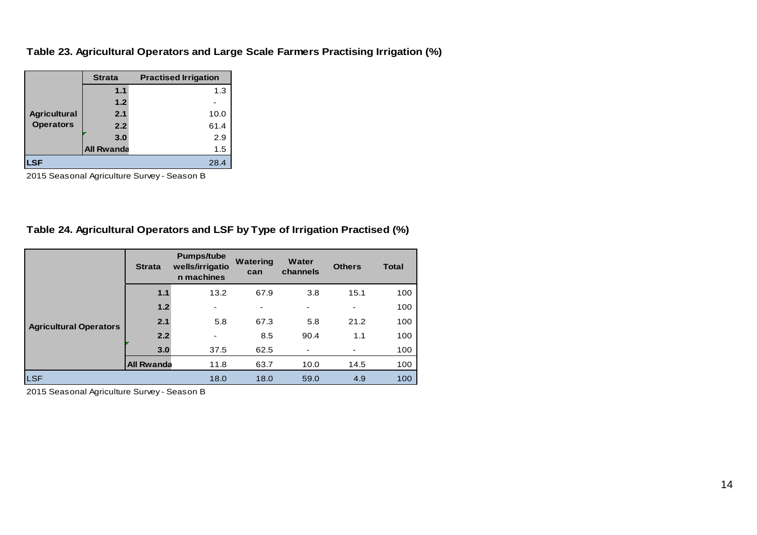#### **Table 23. Agricultural Operators and Large Scale Farmers Practising Irrigation (%)**

|                     | <b>Strata</b>     | <b>Practised Irrigation</b> |
|---------------------|-------------------|-----------------------------|
|                     | 1.1               | 1.3                         |
|                     | 1.2               |                             |
| <b>Agricultural</b> | 2.1               | 10.0                        |
| <b>Operators</b>    | 2.2               | 61.4                        |
|                     | 3.0               | 2.9                         |
|                     | <b>All Rwanda</b> | 1.5                         |
| LSF                 |                   | 28.4                        |

2015 Seasonal Agriculture Survey - Season B

#### **Table 24. Agricultural Operators and LSF by Type of Irrigation Practised (%)**

|                               | <b>Strata</b>     | <b>Pumps/tube</b><br>wells/irrigatio<br>n machines | <b>Watering</b><br>can | Water<br>channels | <b>Others</b>            | <b>Total</b> |
|-------------------------------|-------------------|----------------------------------------------------|------------------------|-------------------|--------------------------|--------------|
|                               | 1.1               | 13.2                                               | 67.9                   | 3.8               | 15.1                     | 100          |
| <b>Agricultural Operators</b> | 1.2               | ۰                                                  | ۰                      | ٠                 | $\overline{\phantom{a}}$ | 100          |
|                               | 2.1               | 5.8                                                | 67.3                   | 5.8               | 21.2                     | 100          |
|                               | 2.2               | $\blacksquare$                                     | 8.5                    | 90.4              | 1.1                      | 100          |
|                               | 3.0               | 37.5                                               | 62.5                   |                   | ٠                        | 100          |
|                               | <b>All Rwanda</b> | 11.8                                               | 63.7                   | 10.0              | 14.5                     | 100          |
| <b>LSF</b>                    |                   | 18.0                                               | 18.0                   | 59.0              | 4.9                      | 100          |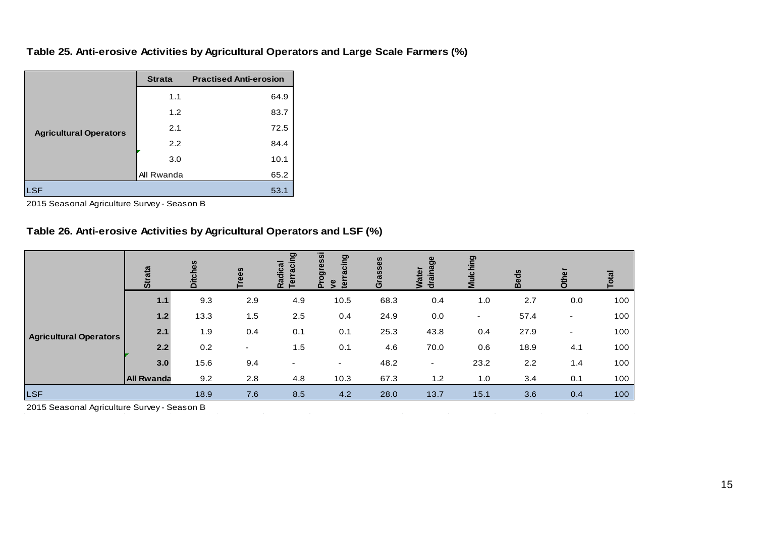#### **Table 25. Anti-erosive Activities by Agricultural Operators and Large Scale Farmers (%)**

|                               | <b>Strata</b> | <b>Practised Anti-erosion</b> |
|-------------------------------|---------------|-------------------------------|
|                               | 1.1           | 64.9                          |
|                               | 1.2           | 83.7                          |
| <b>Agricultural Operators</b> | 2.1           | 72.5                          |
|                               | 2.2           | 84.4                          |
|                               | 3.0           | 10.1                          |
|                               | All Rwanda    | 65.2                          |
| ∟SF                           |               | 53.1                          |

2015 Seasonal Agriculture Survey - Season B

#### **Table 26. Anti-erosive Activities by Agricultural Operators and LSF (%)**

|                               | ata<br>ဖ          | <b>Ditches</b> | ees                      | ರಾ<br>raciı<br>adical<br>둡 | ogressi<br>cing | rasses<br>$\mathbf{C}$ | සී<br>ater<br>。 | Mulching | eds<br>മ | ត្ថ                      | $\sigma$ |
|-------------------------------|-------------------|----------------|--------------------------|----------------------------|-----------------|------------------------|-----------------|----------|----------|--------------------------|----------|
|                               | $1.1$             | 9.3            | 2.9                      | 4.9                        | 10.5            | 68.3                   | 0.4             | 1.0      | 2.7      | 0.0                      | 100      |
| <b>Agricultural Operators</b> | $1.2$             | 13.3           | 1.5                      | 2.5                        | 0.4             | 24.9                   | 0.0             | ٠        | 57.4     | -                        | 100      |
|                               | 2.1               | 1.9            | 0.4                      | 0.1                        | 0.1             | 25.3                   | 43.8            | 0.4      | 27.9     | $\overline{\phantom{0}}$ | 100      |
|                               | 2.2               | 0.2            | $\overline{\phantom{0}}$ | 1.5                        | 0.1             | 4.6                    | 70.0            | 0.6      | 18.9     | 4.1                      | 100      |
|                               | 3.0               | 15.6           | 9.4                      | ۰                          | ۰               | 48.2                   | ۰               | 23.2     | 2.2      | 1.4                      | 100      |
|                               | <b>All Rwanda</b> | 9.2            | 2.8                      | 4.8                        | 10.3            | 67.3                   | 1.2             | 1.0      | 3.4      | 0.1                      | 100      |
| <b>LSF</b>                    |                   | 18.9           | 7.6                      | 8.5                        | 4.2             | 28.0                   | 13.7            | 15.1     | 3.6      | 0.4                      | 100      |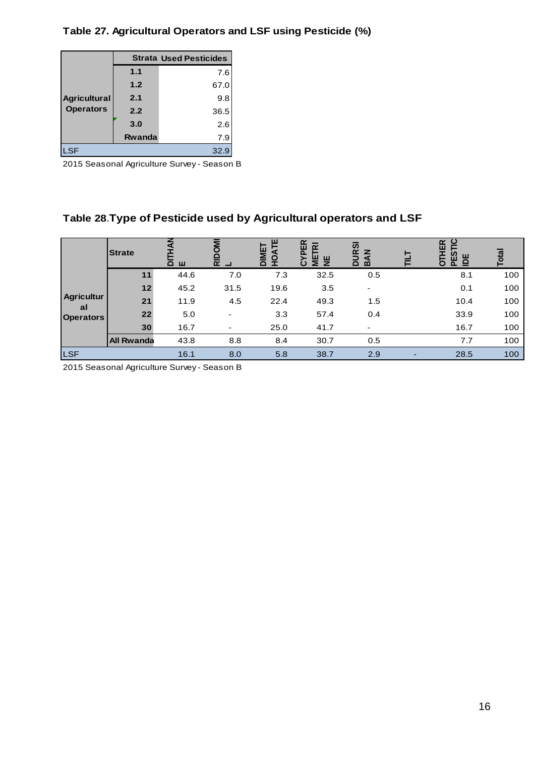**Table 27. Agricultural Operators and LSF using Pesticide (%)**

|                     |        | <b>Strata Used Pesticides</b> |  |  |  |  |
|---------------------|--------|-------------------------------|--|--|--|--|
| <b>Agricultural</b> | 1.1    | 7.6                           |  |  |  |  |
|                     | 1.2    | 67.0                          |  |  |  |  |
|                     | 2.1    | 9.8                           |  |  |  |  |
| <b>Operators</b>    | 2.2    | 36.5                          |  |  |  |  |
|                     | 3.0    | 2.6                           |  |  |  |  |
|                     | Rwanda | 7.9                           |  |  |  |  |
| ILSF<br>32.9        |        |                               |  |  |  |  |

2015 Seasonal Agriculture Survey - Season B

# **Table 28**.**Type of Pesticide used by Agricultural operators and LSF**

|                         | <b>Strate</b>     | $\Omega$<br>Щ | $\overline{\alpha}$ $\Box$ | ш<br>IMET<br><b>DAT</b><br>$\Omega$<br>H | $\alpha$<br>ш<br>≖<br>ய<br>$\bar{z}$<br>ပ | URSI<br>$\tilde{\mathbf{z}}$<br>$\Omega$<br>$\mathbf{m}$ | 田<br>Ĕ<br>ᆍ<br>က္ယ<br>DE<br>O<br>$\Omega$ | Total |
|-------------------------|-------------------|---------------|----------------------------|------------------------------------------|-------------------------------------------|----------------------------------------------------------|-------------------------------------------|-------|
|                         | 11                | 44.6          | 7.0                        | 7.3                                      | 32.5                                      | 0.5                                                      | 8.1                                       | 100   |
|                         | 12                | 45.2          | 31.5                       | 19.6                                     | 3.5                                       | $\overline{\phantom{a}}$                                 | 0.1                                       | 100   |
| <b>Agricultur</b><br>al | 21                | 11.9          | 4.5                        | 22.4                                     | 49.3                                      | 1.5                                                      | 10.4                                      | 100   |
| <b>Operators</b>        | 22                | 5.0           | ۰                          | 3.3                                      | 57.4                                      | 0.4                                                      | 33.9                                      | 100   |
|                         | 30                | 16.7          | ٠                          | 25.0                                     | 41.7                                      |                                                          | 16.7                                      | 100   |
|                         | <b>All Rwanda</b> | 43.8          | 8.8                        | 8.4                                      | 30.7                                      | 0.5                                                      | 7.7                                       | 100   |
| <b>LSF</b>              |                   | 16.1          | 8.0                        | 5.8                                      | 38.7                                      | 2.9                                                      | 28.5                                      | 100   |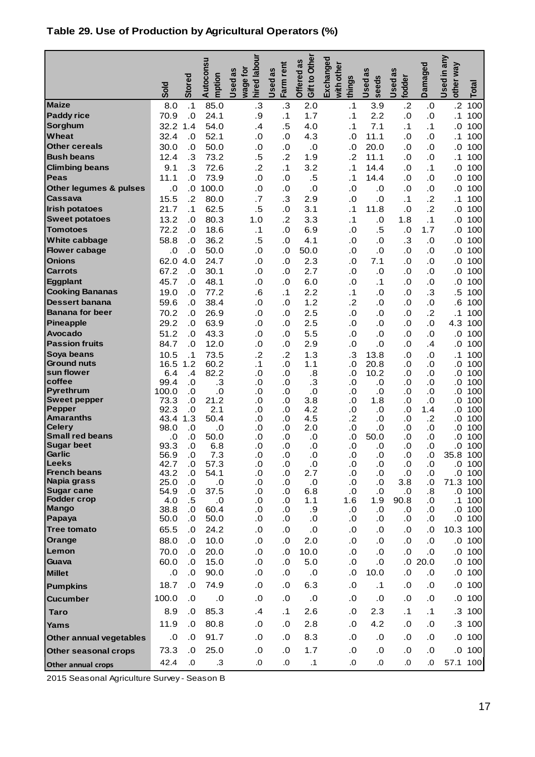## **Table 29. Use of Production by Agricultural Operators (%)**

|                                                 | <b>Sold</b>   | <b>Stored</b>           | Autoconsu<br>mption | hired labour<br>wage for<br>Used as | Farm rent<br>Used as                               | Gift to Other<br>Offered as | Exchanged<br>with other<br>things                  | Used as<br>seeds            | Used as<br>fodder                                  | Damaged          | Used in any<br>other way | Total        |
|-------------------------------------------------|---------------|-------------------------|---------------------|-------------------------------------|----------------------------------------------------|-----------------------------|----------------------------------------------------|-----------------------------|----------------------------------------------------|------------------|--------------------------|--------------|
| <b>Maize</b>                                    | 8.0           | $\cdot$ 1               | 85.0                | $\cdot$ 3                           | $\cdot$ 3                                          | 2.0                         | $\cdot$ 1                                          | 3.9                         | $\cdot$ .2                                         | .0               | $\cdot$ .2               | 100          |
| <b>Paddy rice</b>                               | 70.9          | $\overline{0}$          | 24.1                | .9                                  | $\cdot$ 1                                          | 1.7                         | .1                                                 | 2.2                         | $\overline{\mathbf{0}}$                            | 0.0              | $\cdot$ 1                | 100          |
| Sorghum                                         | 32.2          | 1.4                     | 54.0                | .4                                  | .5                                                 | 4.0                         | $\cdot$ 1                                          | 7.1                         | .1                                                 | .1               | 0.0                      | 100          |
| Wheat                                           | 32.4          | .0                      | 52.1                | .0                                  | .0                                                 | 4.3                         | 0.0                                                | 11.1                        | 0.                                                 | .0               | $\cdot$ 1                | 100          |
| <b>Other cereals</b>                            | 30.0          | .0                      | 50.0                | .0                                  | .0                                                 | .0                          | $\overline{\mathbf{0}}$                            | 20.0                        | 0.5                                                | 0.0              | 0.0                      | 100          |
| <b>Bush beans</b>                               | 12.4          | $\cdot$ 3               | 73.2                | .5                                  | .2                                                 | 1.9                         | $\cdot$                                            | 11.1                        | $\overline{\mathbf{0}}$                            | .0               | .1                       | 100          |
| <b>Climbing beans</b>                           | 9.1           | $\cdot$ 3               | 72.6                | $\overline{2}$                      | .1                                                 | 3.2                         | .1                                                 | 14.4                        | 0.                                                 | .1               | 0.0                      | 100          |
| <b>Peas</b><br>Other legumes & pulses           | 11.1<br>.0    | .0<br>$\overline{0}$ .  | 73.9<br>100.0       | 0.5<br>0.5                          | $\overline{\mathbf{0}}$<br>$\overline{\mathbf{0}}$ | .5<br>.0                    | $\cdot$ 1                                          | 14.4                        | $\overline{\mathbf{0}}$<br>0.5                     | 0.5<br>0.0       | 0.0                      | 100<br>100   |
| Cassava                                         | 15.5          | .2                      | 80.0                | .7                                  | $\cdot$ 3                                          | 2.9                         | $\overline{\mathbf{0}}$<br>$\overline{\mathbf{0}}$ | .0<br>.0                    | .1                                                 | $\overline{2}$   | 0.0<br>$\cdot$ 1         | 100          |
| <b>Irish potatoes</b>                           | 21.7          | $\cdot$ 1               | 62.5                | .5                                  | 0.                                                 | 3.1                         | $\cdot$ 1                                          | 11.8                        | 0.                                                 | $\overline{2}$   | 0.0                      | 100          |
| <b>Sweet potatoes</b>                           | 13.2          | 0.                      | 80.3                | 1.0                                 | $\overline{2}$                                     | 3.3                         | .1                                                 | 0.0                         | 1.8                                                | .1               | 0.0                      | 100          |
| <b>Tomotoes</b>                                 | 72.2          | 0.                      | 18.6                | $\cdot$ 1                           | .0                                                 | 6.9                         | .0                                                 | .5                          | $\overline{\mathbf{0}}$                            | 1.7              | 0.0                      | 100          |
| White cabbage                                   | 58.8          | 0.                      | 36.2                | .5                                  | .0                                                 | 4.1                         | 0.0                                                | .0                          | $\cdot 3$                                          | $\cdot$ 0        | 0.0                      | 100          |
| <b>Flower cabage</b>                            | .0            | .0                      | 50.0                | .0                                  | .0                                                 | 50.0                        | 0.0                                                | .0                          | 0.0                                                | .0               | 0.0                      | 100          |
| <b>Onions</b>                                   | 62.0          | 4.0                     | 24.7                | .0                                  | .0                                                 | 2.3                         | 0.0                                                | 7.1                         | $\overline{\mathbf{0}}$                            | .0               | 0.0                      | 100          |
| <b>Carrots</b>                                  | 67.2          | .0                      | 30.1                | .0                                  | .0                                                 | 2.7                         | 0.                                                 | $\overline{0}$              | 0.                                                 | .0               | 0.0                      | 100          |
| Eggplant                                        | 45.7          | 0.                      | 48.1                | .0                                  | .0                                                 | 6.0                         | $\overline{\mathbf{0}}$                            | $\cdot$ 1                   | 0.5                                                | 0.0              | 0.0                      | 100          |
| <b>Cooking Bananas</b>                          | 19.0          | 0.0                     | 77.2                | .6                                  | $\cdot$ 1                                          | 2.2                         | $\cdot$ 1                                          | .0                          | $\overline{\mathbf{0}}$                            | .3               | .5                       | 100          |
| <b>Dessert banana</b><br><b>Banana for beer</b> | 59.6<br>70.2  | 0.0<br>0.0              | 38.4<br>26.9        | 0.5<br>0.0                          | .0<br>0.                                           | 1.2<br>2.5                  | $\cdot$ .2<br>$\overline{\mathbf{0}}$              | 0.0<br>0.0                  | $\overline{\mathbf{0}}$<br>$\overline{\mathbf{0}}$ | .0<br>$\cdot$ .2 | .6<br>$\cdot$ 1          | 100<br>100   |
| Pineapple                                       | 29.2          | 0.0                     | 63.9                | .0                                  | .0                                                 | 2.5                         | .0                                                 | .0                          | 0.5                                                | 0.5              | 4.3                      | 100          |
| <b>Avocado</b>                                  | 51.2          | 0.                      | 43.3                | 0.5                                 | .0                                                 | 5.5                         | 0.0                                                | .0                          | 0.                                                 | .0               | 0.0                      | 100          |
| <b>Passion fruits</b>                           | 84.7          | 0.                      | 12.0                | 0.                                  | 0.                                                 | 2.9                         | $\overline{\mathbf{0}}$                            | $\overline{0}$              | 0.                                                 | .4               | 0.0                      | 100          |
| Soya beans                                      | 10.5          | .1                      | 73.5                | $\overline{2}$                      | $\cdot$ .2                                         | 1.3                         | $\cdot$ 3                                          | 13.8                        | 0.                                                 | .0               | $\cdot$ 1                | 100          |
| <b>Ground nuts</b>                              | 16.5          | 1.2                     | 60.2                | .1                                  | .0                                                 | 1.1                         | .0                                                 | 20.8                        | 0.                                                 | .0               | .0                       | 100          |
| sun flower<br>coffee                            | 6.4           | .4                      | 82.2                | .0                                  | .0                                                 | .8                          | 0.0                                                | 10.2                        | 0.0                                                | 0.0              | .0                       | 100          |
| <b>Pyrethrum</b>                                | 99.4<br>100.0 | .0<br>.0                | $\cdot$ 3<br>.0     | .0<br>.0                            | 0.0<br>.0                                          | $\cdot$ 3<br>.0             | 0.0<br>.0                                          | .0<br>.0                    | 0.0<br>0.0                                         | 0.0<br>.0        | .0<br>.0                 | 100<br>100   |
| <b>Sweet pepper</b>                             | 73.3          | 0.0                     | 21.2                | 0.0                                 | 0.0                                                | 3.8                         | 0.0                                                | 1.8                         | 0.0                                                | .0               | .0                       | 100          |
| <b>Pepper</b>                                   | 92.3          | .0                      | 2.1                 | .0                                  | 0.0                                                | 4.2                         | .0                                                 | .0                          | .0                                                 | 1.4              | .0                       | 100          |
| <b>Amaranths</b><br>Celery                      | 43.4<br>98.0  | 1.3                     | 50.4                | 0.0                                 | .0                                                 | 4.5                         | $\cdot$                                            | .0                          | 0.0                                                | .2               | .0                       | 100          |
| <b>Small red beans</b>                          | .0            | .0<br>0.0               | .0<br>50.0          | .0<br>.0                            | .0<br>.0                                           | 2.0<br>.0                   | .0<br>0.0                                          | .0<br>50.0                  | .0<br>.0                                           | .0<br>.0         | .0<br>.0                 | 100<br>100   |
| <b>Sugar beet</b>                               | 93.3          | 0.                      | 6.8                 | .0                                  | .0                                                 | .0                          | 0.0                                                | .0                          | .0                                                 | 0.0              | 0.0                      | 100          |
| Garlic                                          | 56.9          | $\overline{\mathbf{0}}$ | 7.3                 | .0                                  | .0                                                 | .0                          | .0                                                 | .0                          | .0                                                 | .0               | 35.8 100                 |              |
| <b>Leeks</b><br><b>French beans</b>             | 42.7<br>43.2  | $\cdot$<br>.0           | 57.3<br>54.1        | .0<br>.0                            | .0<br>.0                                           | 0.0<br>2.7                  | .0<br>.0                                           | $\cdot$<br>$\overline{0}$ . | .0<br>.0                                           | $\cdot$<br>.0    | $\cdot$<br>.0            | 100<br>100   |
| Napia grass                                     | 25.0          | .0                      | .0                  | .0                                  | .0                                                 | .0                          | .0                                                 | $\cdot$                     | 3.8                                                | .0               | 71.3                     | 100          |
| <b>Sugar cane</b>                               | 54.9          | .0                      | 37.5                | .0                                  | .0                                                 | 6.8                         | .0                                                 | .0                          | .0                                                 | .8               | .0                       | 100          |
| <b>Fodder crop</b>                              | 4.0           | .5                      | .0                  | .0                                  | .0                                                 | 1.1                         | 1.6                                                | 1.9                         | 90.8                                               | .0               | . 1                      | 100          |
| <b>Mango</b><br>Papaya                          | 38.8<br>50.0  | .0<br>.0                | 60.4<br>50.0        | .0<br>.0                            | .0<br>.0                                           | .9<br>.0                    | .0<br>.0                                           | .0<br>$\cdot$               | .0<br>.0                                           | .0<br>.0         | .0                       | 100<br>.0100 |
| <b>Tree tomato</b>                              | 65.5          | .0                      | 24.2                | .0                                  | .0                                                 | $\cdot$ 0                   | $\cdot 0$                                          | .0                          | 0.0                                                | .0               | 10.3                     | 100          |
| Orange                                          | 88.0          | .0                      | 10.0                | 0.0                                 | 0.0                                                | 2.0                         | 0.0                                                | .0                          | .0                                                 | .0               | .0                       | 100          |
| Lemon                                           | 70.0          | .0                      | 20.0                | 0.0                                 | .0                                                 | 10.0                        | .0                                                 | .0                          | .0                                                 | .0               | 0.                       | 100          |
| Guava                                           | 60.0          | .0                      | 15.0                | .0                                  | .0                                                 | 5.0                         | $\cdot 0$                                          | .0                          |                                                    | .020.0           | .0                       | 100          |
| <b>Millet</b>                                   | .0            | $\cdot$                 | 90.0                | .0                                  | .0                                                 | $\cdot$ 0                   | .0                                                 | 10.0                        | .0                                                 | .0               | 0.                       | 100          |
| <b>Pumpkins</b>                                 | 18.7          | .0                      | 74.9                | .0                                  | .0                                                 | 6.3                         | $\cdot$                                            | $\cdot$ 1                   | $\cdot$                                            | .0               | .0                       | 100          |
| <b>Cucumber</b>                                 | 100.0         | .0                      | $\cdot$ 0           | 0.0                                 | .0                                                 | .0                          | .0                                                 | .0                          | 0.0                                                | .0               | .0                       | 100          |
| <b>Taro</b>                                     | 8.9           | .0                      | 85.3                | $\cdot$                             | $\cdot$ 1                                          | 2.6                         | .0                                                 | 2.3                         | $\cdot$ 1                                          | $\cdot$ 1        |                          | $.3$ 100     |
| Yams                                            | 11.9          | .0                      | 80.8                | .0                                  | .0                                                 | 2.8                         | 0.0                                                | 4.2                         | 0.0                                                | .0               | $\cdot$ 3                | 100          |
| Other annual vegetables                         | .0            | $\cdot$                 | 91.7                | .0                                  | $\cdot$                                            | 8.3                         | .0                                                 | .0                          | $\cdot$                                            | $\cdot$ 0        | 0.                       | 100          |
| Other seasonal crops                            | 73.3          | $\cdot$                 | 25.0                | .0                                  | .0                                                 | 1.7                         | $\cdot 0$                                          | $\cdot$                     | $\cdot$                                            | .0               |                          | .0100        |
| Other annual crops                              | 42.4          | .0                      | .3                  | .0                                  | 0.                                                 | $\cdot$ 1                   | .0                                                 | $\Omega$                    | .0                                                 | .0               | 57.1 100                 |              |

2015 Seasonal Agriculture Survey - Season B

17